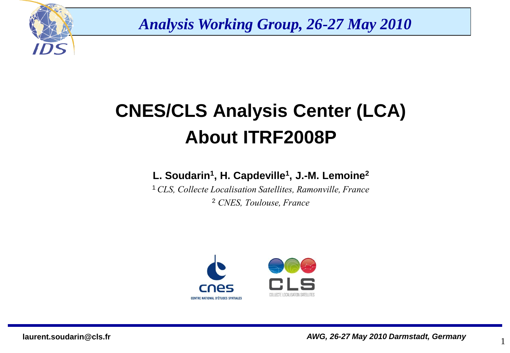

*Analysis Working Group, 26-27 May 2010*

# **CNES/CLS Analysis Center (LCA) About ITRF2008P**

#### **L. Soudarin<sup>1</sup> , H. Capdeville<sup>1</sup> , J.-M. Lemoine<sup>2</sup>**

<sup>1</sup>*CLS, Collecte Localisation Satellites, Ramonville, France* <sup>2</sup> *CNES, Toulouse, France*



1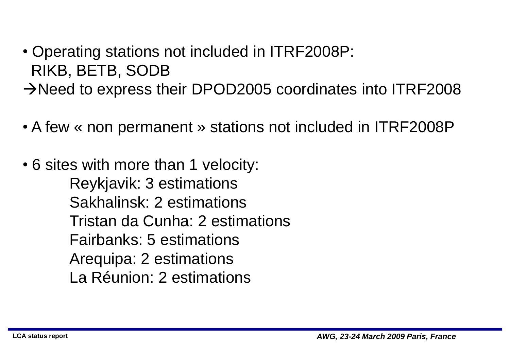• Operating stations not included in ITRF2008P: RIKB, BETB, SODB  $\rightarrow$ Need to express their DPOD2005 coordinates into ITRF2008

• A few « non permanent » stations not included in ITRF2008P

• 6 sites with more than 1 velocity: Reykjavik: 3 estimations Sakhalinsk: 2 estimations Tristan da Cunha: 2 estimations Fairbanks: 5 estimations Arequipa: 2 estimations La Réunion: 2 estimations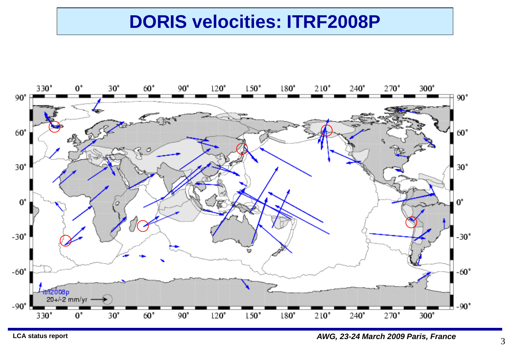### **DORIS velocities: ITRF2008P**



**LCA status report** *AWG, 23-24 March 2009 Paris, France*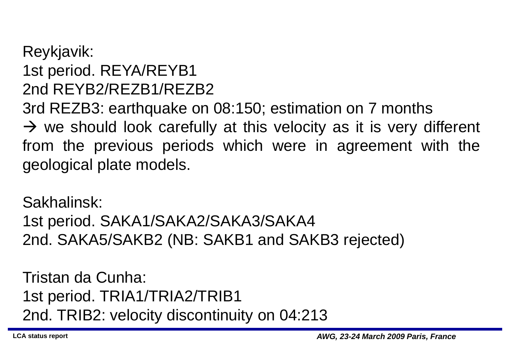#### Reykjavik: 1st period. REYA/REYB1 2nd REYB2/REZB1/REZB2

3rd REZB3: earthquake on 08:150; estimation on 7 months  $\rightarrow$  we should look carefully at this velocity as it is very different from the previous periods which were in agreement with the geological plate models.

Sakhalinsk:

1st period. SAKA1/SAKA2/SAKA3/SAKA4 2nd. SAKA5/SAKB2 (NB: SAKB1 and SAKB3 rejected)

Tristan da Cunha: 1st period. TRIA1/TRIA2/TRIB1 2nd. TRIB2: velocity discontinuity on 04:213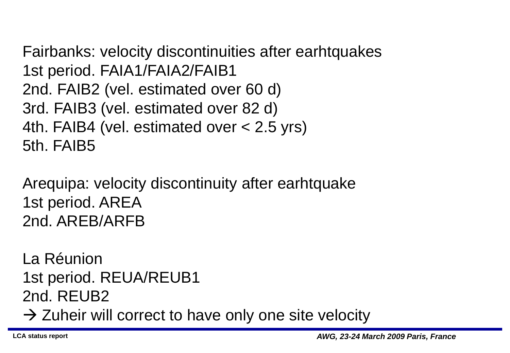Fairbanks: velocity discontinuities after earhtquakes 1st period. FAIA1/FAIA2/FAIB1 2nd. FAIB2 (vel. estimated over 60 d) 3rd. FAIB3 (vel. estimated over 82 d) 4th. FAIB4 (vel. estimated over < 2.5 yrs) 5th. FAIB5

Arequipa: velocity discontinuity after earhtquake 1st period. AREA 2nd. AREB/ARFB

La Réunion 1st period. REUA/REUB1 2nd. REUB2  $\rightarrow$  Zuheir will correct to have only one site velocity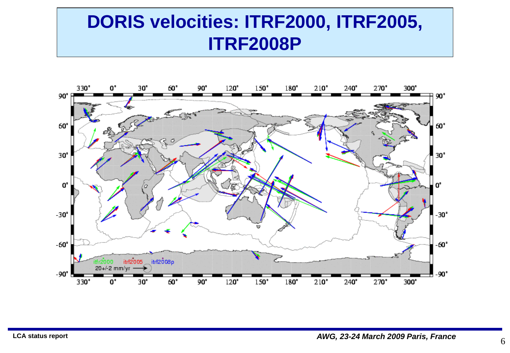## **DORIS velocities: ITRF2000, ITRF2005, ITRF2008P**



6